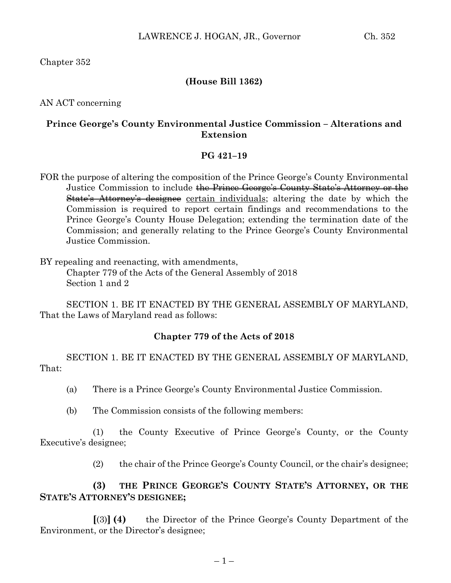Chapter 352

## **(House Bill 1362)**

AN ACT concerning

### **Prince George's County Environmental Justice Commission – Alterations and Extension**

#### **PG 421–19**

FOR the purpose of altering the composition of the Prince George's County Environmental Justice Commission to include the Prince George's County State's Attorney or the State's Attorney's designee certain individuals; altering the date by which the Commission is required to report certain findings and recommendations to the Prince George's County House Delegation; extending the termination date of the Commission; and generally relating to the Prince George's County Environmental Justice Commission.

BY repealing and reenacting, with amendments, Chapter 779 of the Acts of the General Assembly of 2018 Section 1 and 2

SECTION 1. BE IT ENACTED BY THE GENERAL ASSEMBLY OF MARYLAND, That the Laws of Maryland read as follows:

### **Chapter 779 of the Acts of 2018**

SECTION 1. BE IT ENACTED BY THE GENERAL ASSEMBLY OF MARYLAND, That:

- (a) There is a Prince George's County Environmental Justice Commission.
- (b) The Commission consists of the following members:

(1) the County Executive of Prince George's County, or the County Executive's designee;

(2) the chair of the Prince George's County Council, or the chair's designee;

## **(3) THE PRINCE GEORGE'S COUNTY STATE'S ATTORNEY, OR THE STATE'S ATTORNEY'S DESIGNEE;**

**[**(3)**] (4)** the Director of the Prince George's County Department of the Environment, or the Director's designee;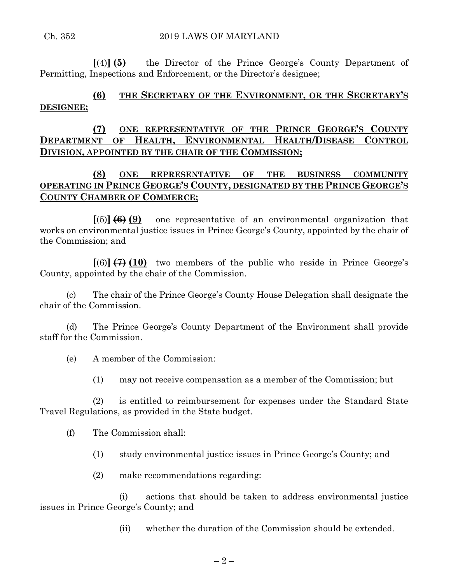**[**(4)**] (5)** the Director of the Prince George's County Department of Permitting, Inspections and Enforcement, or the Director's designee;

# **(6) THE SECRETARY OF THE ENVIRONMENT, OR THE SECRETARY'S DESIGNEE;**

## **(7) ONE REPRESENTATIVE OF THE PRINCE GEORGE'S COUNTY DEPARTMENT OF HEALTH, ENVIRONMENTAL HEALTH/DISEASE CONTROL DIVISION, APPOINTED BY THE CHAIR OF THE COMMISSION;**

# **(8) ONE REPRESENTATIVE OF THE BUSINESS COMMUNITY OPERATING IN PRINCE GEORGE'S COUNTY, DESIGNATED BY THE PRINCE GEORGE'S COUNTY CHAMBER OF COMMERCE;**

**[**(5)**] (6) (9)** one representative of an environmental organization that works on environmental justice issues in Prince George's County, appointed by the chair of the Commission; and

**[**(6)**] (7) (10)** two members of the public who reside in Prince George's County, appointed by the chair of the Commission.

(c) The chair of the Prince George's County House Delegation shall designate the chair of the Commission.

(d) The Prince George's County Department of the Environment shall provide staff for the Commission.

(e) A member of the Commission:

(1) may not receive compensation as a member of the Commission; but

(2) is entitled to reimbursement for expenses under the Standard State Travel Regulations, as provided in the State budget.

(f) The Commission shall:

- (1) study environmental justice issues in Prince George's County; and
- (2) make recommendations regarding:

(i) actions that should be taken to address environmental justice issues in Prince George's County; and

(ii) whether the duration of the Commission should be extended.